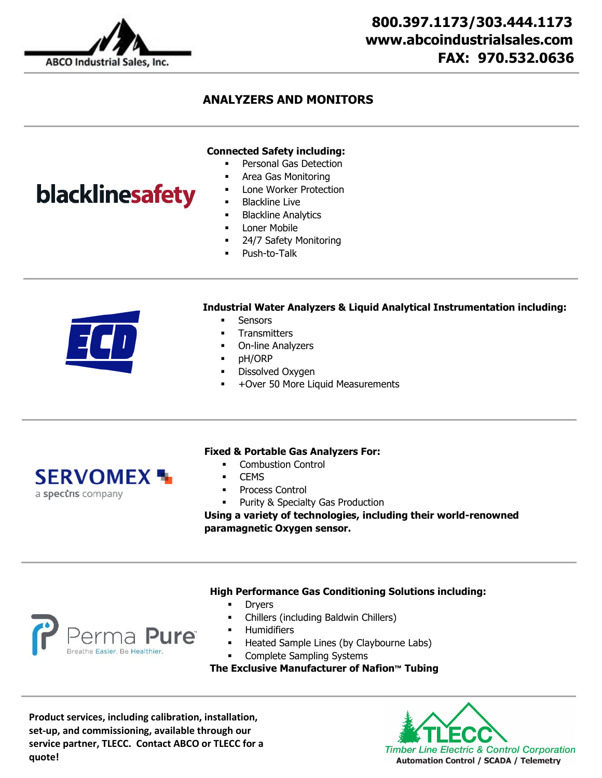

blacklinesafety

## **ANALYZERS AND MONITORS**

#### **Connected Safety including:**

- Personal Gas Detection
- Area Gas Monitoring
- Lone Worker Protection
- Blackline Live
- Blackline Analytics
- Loner Mobile
- 24/7 Safety Monitoring
- Push-to-Talk

# **Industrial Water Analyzers & Liquid Analytical Instrumentation including:**

- **Sensors** 
	- **Transmitters**
	- On-line Analyzers
	- **•** pH/ORP
	- Dissolved Oxygen
	- +Over 50 More Liquid Measurements



#### **Fixed & Portable Gas Analyzers For:**

- **•** Combustion Control
- **CEMS**
- Process Control
- Purity & Specialty Gas Production

**Using a variety of technologies, including their world-renowned paramagnetic Oxygen sensor.**

#### **High Performance Gas Conditioning Solutions including:**

- Dryers
- Chillers (including Baldwin Chillers)
- Humidifiers
	- Heated Sample Lines (by Claybourne Labs)
- Complete Sampling Systems

**The Exclusive Manufacturer of Nafion™ Tubing**

**Product services, including calibration, installation, set-up, and commissioning, available through our service partner, TLECC. Contact ABCO or TLECC for a quote!**

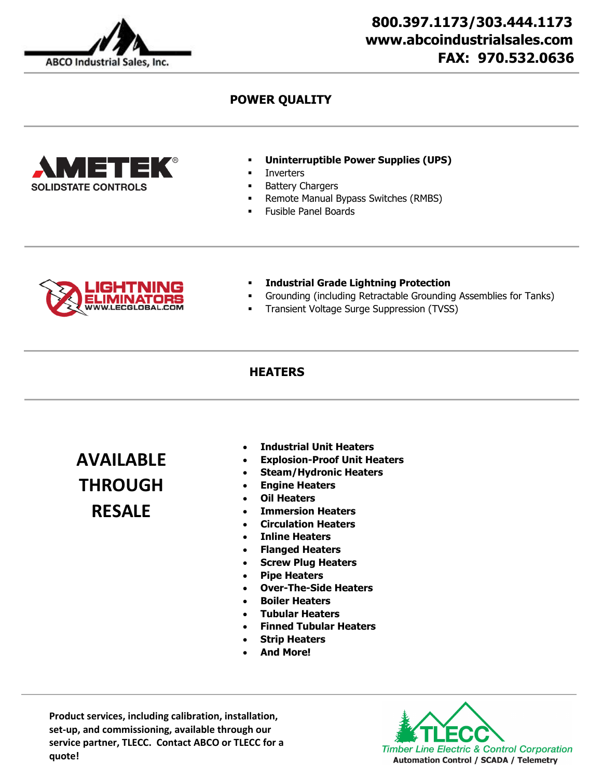

# **800.397.1173/303.444.1173 www.abcoindustrialsales.com FAX: 970.532.0636**

## **POWER QUALITY**



- **Uninterruptible Power Supplies (UPS)**
- **Inverters**
- **Battery Chargers**
- **Remote Manual Bypass Switches (RMBS)**
- Fusible Panel Boards



- **Industrial Grade Lightning Protection**
- Grounding (including Retractable Grounding Assemblies for Tanks)
- Transient Voltage Surge Suppression (TVSS)

#### **HEATERS**

**AVAILABLE THROUGH RESALE**

- **Industrial Unit Heaters**
- **Explosion-Proof Unit Heaters**
- **Steam/Hydronic Heaters**
- **Engine Heaters**
- **Oil Heaters**
- **Immersion Heaters**
- **Circulation Heaters**
- **Inline Heaters**
- **Flanged Heaters**
- **Screw Plug Heaters**
- **Pipe Heaters**
- **Over-The-Side Heaters**
- **Boiler Heaters**
- **Tubular Heaters**
- **Finned Tubular Heaters**
- **Strip Heaters**
- **And More!**

**Product services, including calibration, installation, set-up, and commissioning, available through our service partner, TLECC. Contact ABCO or TLECC for a quote!**

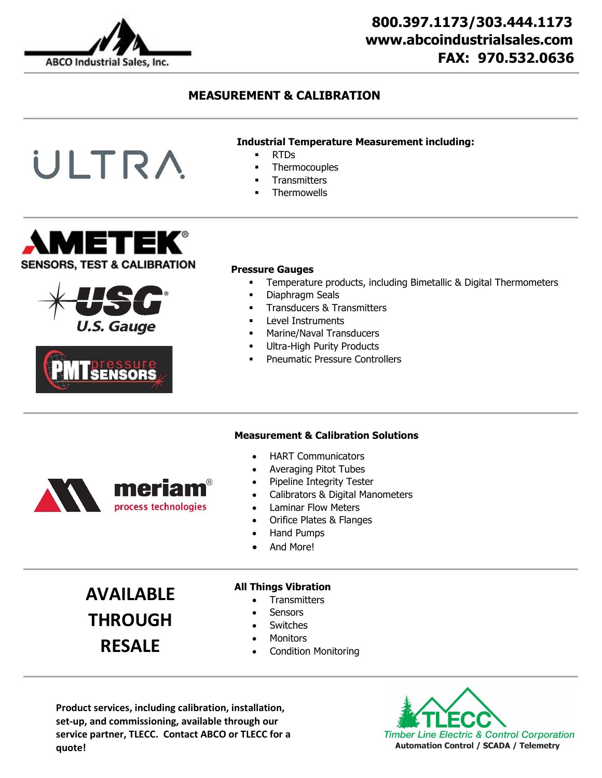

# **800.397.1173/303.444.1173 www.abcoindustrialsales.com FAX: 970.532.0636**

## **MEASUREMENT & CALIBRATION**

#### **Industrial Temperature Measurement including:**

- RTDs
- **Thermocouples**
- **Transmitters**
- **Thermowells**



ULTRA





#### **Pressure Gauges**

- Temperature products, including Bimetallic & Digital Thermometers
- **-** Diaphragm Seals
- **Transducers & Transmitters**
- **Level Instruments**
- **Marine/Naval Transducers**
- **Ultra-High Purity Products**
- **•** Pneumatic Pressure Controllers

### **Measurement & Calibration Solutions**

- HART Communicators
- Averaging Pitot Tubes
- Pipeline Integrity Tester
- Calibrators & Digital Manometers
- Laminar Flow Meters
- Orifice Plates & Flanges
- Hand Pumps
- And More!

**AVAILABLE THROUGH RESALE**

meriam

process technologies

#### **All Things Vibration**

- Transmitters
- **Sensors**
- **Switches**
- **Monitors**
- Condition Monitoring

**Product services, including calibration, installation, set-up, and commissioning, available through our service partner, TLECC. Contact ABCO or TLECC for a quote!**